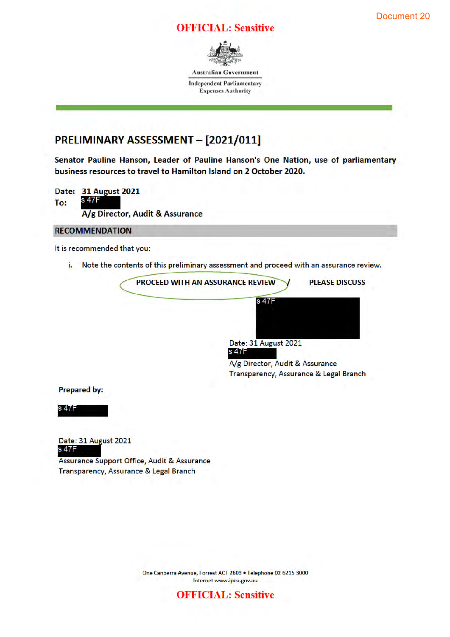#### Document 20

### **OFFICIAL: Sensitive**



**Australian Government** 

**Independent Parliamentary Expenses Authority** 

## PRELIMINARY ASSESSMENT - [2021/011]

Senator Pauline Hanson, Leader of Pauline Hanson's One Nation, use of parliamentary business resources to travel to Hamilton Island on 2 October 2020.

Date: 31 August 2021 s 47F To: A/g Director, Audit & Assurance

#### **RECOMMENDATION**

It is recommended that you:

Note the contents of this preliminary assessment and proceed with an assurance review. i.



A/g Director, Audit & Assurance Transparency, Assurance & Legal Branch

**Prepared by:** 

s 47F

Date: 31 August 2021 s 47F

Assurance Support Office, Audit & Assurance Transparency, Assurance & Legal Branch

> One Canberra Avenue, Forrest ACT 2603 · Telephone 02 6215 3000 Internet www.ipea.gov.au

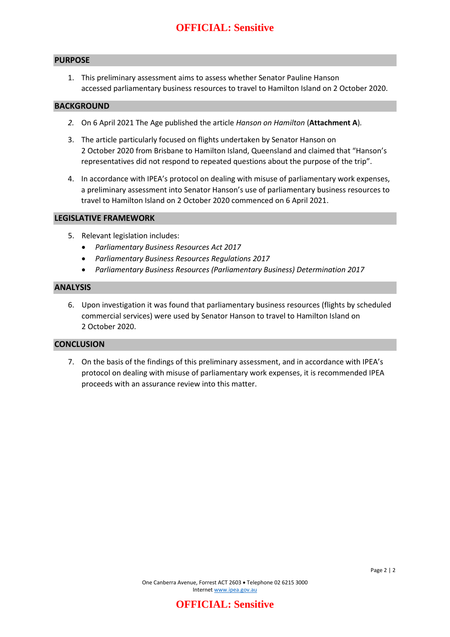## **OFFICIAL: Sensitive**

#### **PURPOSE**

1. This preliminary assessment aims to assess whether Senator Pauline Hanson accessed parliamentary business resources to travel to Hamilton Island on 2 October 2020.

#### **BACKGROUND**

- *2.* On 6 April 2021 The Age published the article *Hanson on Hamilton* (**Attachment A**)*.*
- 3. The article particularly focused on flights undertaken by Senator Hanson on 2 October 2020 from Brisbane to Hamilton Island, Queensland and claimed that "Hanson's representatives did not respond to repeated questions about the purpose of the trip".
- 4. In accordance with IPEA's protocol on dealing with misuse of parliamentary work expenses, a preliminary assessment into Senator Hanson's use of parliamentary business resources to travel to Hamilton Island on 2 October 2020 commenced on 6 April 2021.

#### **LEGISLATIVE FRAMEWORK**

- 5. Relevant legislation includes:
	- *Parliamentary Business Resources Act 2017*
	- *Parliamentary Business Resources Regulations 2017*
	- *Parliamentary Business Resources (Parliamentary Business) Determination 2017*

#### **ANALYSIS**

6. Upon investigation it was found that parliamentary business resources (flights by scheduled commercial services) were used by Senator Hanson to travel to Hamilton Island on 2 October 2020.

#### **CONCLUSION**

7. On the basis of the findings of this preliminary assessment, and in accordance with IPEA's protocol on dealing with misuse of parliamentary work expenses, it is recommended IPEA proceeds with an assurance review into this matter.

**OFFICIAL: Sensitive**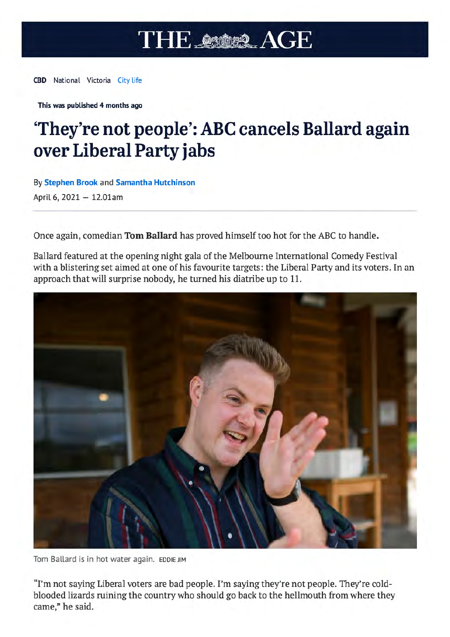# **THE ASSER AGE**

**CBD** National Victoria City Life

This was published 4 months ago

# 'They're not people': ABC cancels Ballard again over Liberal Party jabs

By Stephen Brook and Samantha Hutchinson April 6, 2021 - 12.01am

Once again, comedian Tom Ballard has proved himself too hot for the ABC to handle.

Ballard featured at the opening night gala of the Melbourne International Comedy Festival with a blistering set aimed at one of his favourite targets: the Liberal Party and its voters. In an approach that will surprise nobody, he turned his diatribe up to 11.



Tom Ballard is in hot water again. EDDIE JIM

"I'm not saying Liberal voters are bad people. I'm saying they're not people. They're coldblooded lizards ruining the country who should go back to the hellmouth from where they came," he said.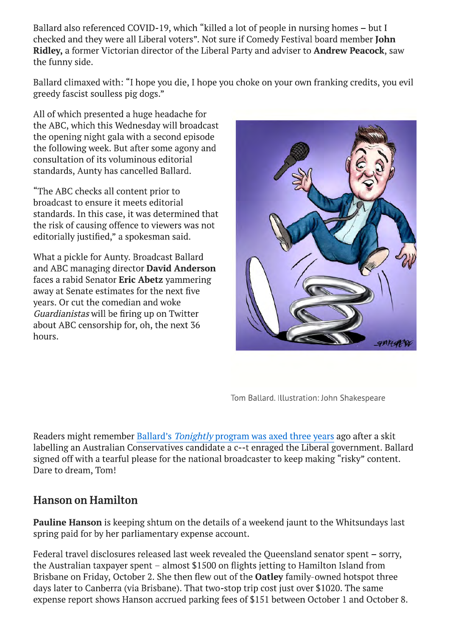Ballard also referenced COVID-19, which "killed a lot of people in nursing homes - but I checked and they were all Liberal voters". Not sure if Comedy Festival board member John Ridley, a former Victorian director of the Liberal Party and adviser to Andrew Peacock, saw the funny side.

Ballard climaxed with: "I hope you die, I hope you choke on your own franking credits, you evil greedy fascist soulless pig dogs."

All of which presented a huge headache for the ABC, which this Wednesday will broadcast the opening night gala with a second episode the following week. But after some agony and consultation of its voluminous editorial standards, Aunty has cancelled Ballard.

"The ABC checks all content prior to broadcast to ensure it meets editorial standards. In this case, it was determined that the risk of causing offence to viewers was not editorially justified," a spokesman said.

What a pickle for Aunty. Broadcast Ballard and ABC managing director **David Anderson** faces a rabid Senator Eric Abetz yammering away at Senate estimates for the next five vears. Or cut the comedian and woke Guardianistas will be firing up on Twitter about ABC censorship for, oh, the next 36 hours.



Tom Ballard. Illustration: John Shakespeare

Readers might remember Ballard's Tonightly program was axed three years ago after a skit labelling an Australian Conservatives candidate a c--t enraged the Liberal government. Ballard signed off with a tearful please for the national broadcaster to keep making "risky" content. Dare to dream, Tom!

# **Hanson on Hamilton**

**Pauline Hanson** is keeping shtum on the details of a weekend jaunt to the Whitsundays last spring paid for by her parliamentary expense account.

Federal travel disclosures released last week revealed the Queensland senator spent - sorry, the Australian taxpayer spent - almost \$1500 on flights jetting to Hamilton Island from Brisbane on Friday, October 2. She then flew out of the **Oatley** family-owned hotspot three days later to Canberra (via Brisbane). That two-stop trip cost just over \$1020. The same expense report shows Hanson accrued parking fees of \$151 between October 1 and October 8.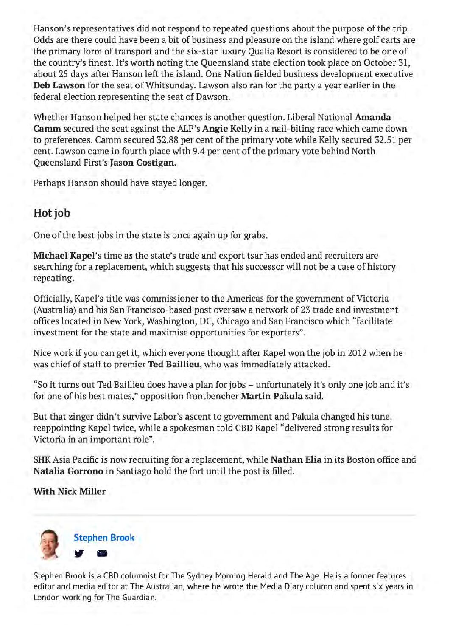Hanson's representatives did not respond to repeated questions about the purpose of the trip. Odds are there could have been a bit of business and pleasure on the island where golf carts are the primary form of transport and the six-star luxury Qualia Resort is considered to be one of the country's finest. It's worth noting the Queensland state election took place on October 31, about 25 days after Hanson left the island. One Nation fielded business development executive Deb Lawson for the seat of Whitsunday. Lawson also ran for the party a year earlier in the federal election representing the seat of Dawson.

Whether Hanson helped her state chances is another question. Liberal National Amanda Camm secured the seat against the ALP's Angie Kelly in a nail-biting race which came down to preferences. Camm secured 32.88 per cent of the primary vote while Kelly secured 32.51 per cent. Lawson came in fourth place with 9.4 per cent of the primary vote behind North **Oueensland First's Jason Costigan.** 

Perhaps Hanson should have stayed longer.

# Hot job

One of the best jobs in the state is once again up for grabs.

Michael Kapel's time as the state's trade and export tsar has ended and recruiters are searching for a replacement, which suggests that his successor will not be a case of history repeating.

Officially, Kapel's title was commissioner to the Americas for the government of Victoria (Australia) and his San Francisco-based post oversaw a network of 23 trade and investment offices located in New York, Washington, DC, Chicago and San Francisco which "facilitate investment for the state and maximise opportunities for exporters".

Nice work if you can get it, which everyone thought after Kapel won the job in 2012 when he was chief of staff to premier Ted Baillieu, who was immediately attacked.

"So it turns out Ted Baillieu does have a plan for jobs - unfortunately it's only one job and it's for one of his best mates," opposition frontbencher Martin Pakula said.

But that zinger didn't survive Labor's ascent to government and Pakula changed his tune, reappointing Kapel twice, while a spokesman told CBD Kapel "delivered strong results for Victoria in an important role".

SHK Asia Pacific is now recruiting for a replacement, while Nathan Elia in its Boston office and Natalia Gorrono in Santiago hold the fort until the post is filled.

### **With Nick Miller**



Stephen Brook is a CBD columnist for The Sydney Morning Herald and The Age. He is a former features editor and media editor at The Australian, where he wrote the Media Diary column and spent six years in London working for The Guardian.